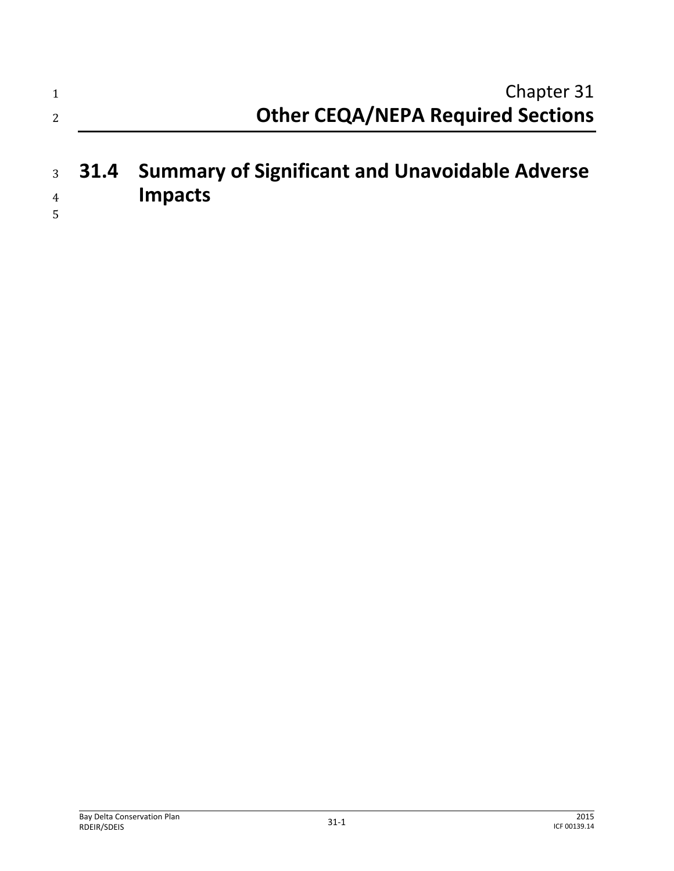| 1                   | Chapter 31                                                              |
|---------------------|-------------------------------------------------------------------------|
| 2                   | <b>Other CEQA/NEPA Required Sections</b>                                |
| $\overline{4}$<br>5 | 3 31.4 Summary of Significant and Unavoidable Adverse<br><b>Impacts</b> |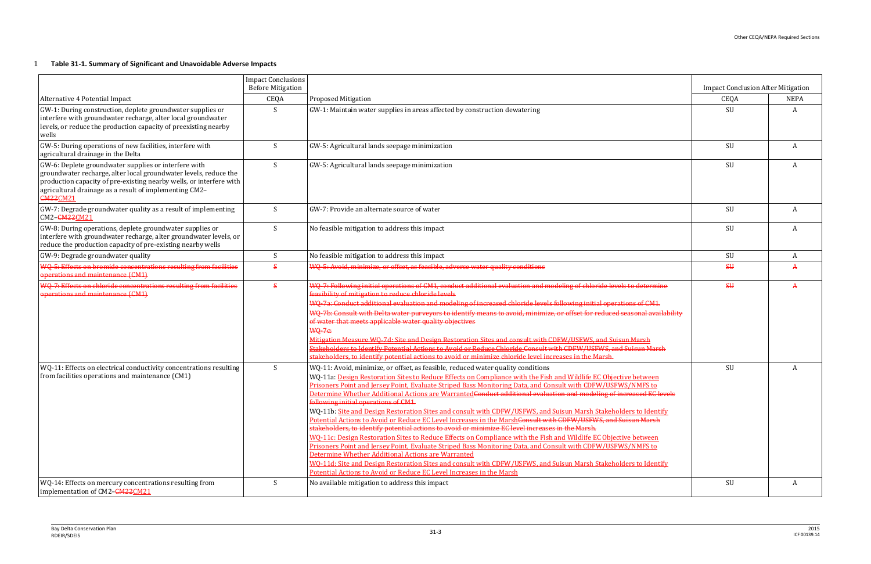# 1 **Table 31-1. Summary of Significant and Unavoidable Adverse Impacts**

|                                                                                                                                                                                                                                                                              | <b>Impact Conclusions</b><br><b>Before Mitigation</b> |                                                                                                                                                                                                                                                                                                                                                                                                                                                                                                                                                                                                                                                                                                                                                                                                                                                                                                                                                                                                                                                                                                                                                                                                                                                                                                                             | <b>Impact Conclusion After Mitigation</b> |              |
|------------------------------------------------------------------------------------------------------------------------------------------------------------------------------------------------------------------------------------------------------------------------------|-------------------------------------------------------|-----------------------------------------------------------------------------------------------------------------------------------------------------------------------------------------------------------------------------------------------------------------------------------------------------------------------------------------------------------------------------------------------------------------------------------------------------------------------------------------------------------------------------------------------------------------------------------------------------------------------------------------------------------------------------------------------------------------------------------------------------------------------------------------------------------------------------------------------------------------------------------------------------------------------------------------------------------------------------------------------------------------------------------------------------------------------------------------------------------------------------------------------------------------------------------------------------------------------------------------------------------------------------------------------------------------------------|-------------------------------------------|--------------|
| Alternative 4 Potential Impact                                                                                                                                                                                                                                               | CEQA                                                  | <b>Proposed Mitigation</b>                                                                                                                                                                                                                                                                                                                                                                                                                                                                                                                                                                                                                                                                                                                                                                                                                                                                                                                                                                                                                                                                                                                                                                                                                                                                                                  | CEQA                                      | <b>NEPA</b>  |
| GW-1: During construction, deplete groundwater supplies or<br>interfere with groundwater recharge, alter local groundwater<br>levels, or reduce the production capacity of preexisting nearby<br>wells                                                                       | S                                                     | GW-1: Maintain water supplies in areas affected by construction dewatering                                                                                                                                                                                                                                                                                                                                                                                                                                                                                                                                                                                                                                                                                                                                                                                                                                                                                                                                                                                                                                                                                                                                                                                                                                                  | SU                                        | $\mathbf{A}$ |
| GW-5: During operations of new facilities, interfere with<br>agricultural drainage in the Delta                                                                                                                                                                              | S                                                     | GW-5: Agricultural lands seepage minimization                                                                                                                                                                                                                                                                                                                                                                                                                                                                                                                                                                                                                                                                                                                                                                                                                                                                                                                                                                                                                                                                                                                                                                                                                                                                               | SU                                        | A            |
| GW-6: Deplete groundwater supplies or interfere with<br>groundwater recharge, alter local groundwater levels, reduce the<br>production capacity of pre-existing nearby wells, or interfere with<br>agricultural drainage as a result of implementing CM2-<br><b>CM22CM21</b> | S                                                     | GW-5: Agricultural lands seepage minimization                                                                                                                                                                                                                                                                                                                                                                                                                                                                                                                                                                                                                                                                                                                                                                                                                                                                                                                                                                                                                                                                                                                                                                                                                                                                               | SU                                        | A            |
| GW-7: Degrade groundwater quality as a result of implementing<br>CM2-CM22CM21                                                                                                                                                                                                | S                                                     | GW-7: Provide an alternate source of water                                                                                                                                                                                                                                                                                                                                                                                                                                                                                                                                                                                                                                                                                                                                                                                                                                                                                                                                                                                                                                                                                                                                                                                                                                                                                  | SU                                        | A            |
| GW-8: During operations, deplete groundwater supplies or<br>interfere with groundwater recharge, alter groundwater levels, or<br>reduce the production capacity of pre-existing nearby wells                                                                                 | S                                                     | No feasible mitigation to address this impact                                                                                                                                                                                                                                                                                                                                                                                                                                                                                                                                                                                                                                                                                                                                                                                                                                                                                                                                                                                                                                                                                                                                                                                                                                                                               | SU                                        | A            |
| GW-9: Degrade groundwater quality                                                                                                                                                                                                                                            | S                                                     | No feasible mitigation to address this impact                                                                                                                                                                                                                                                                                                                                                                                                                                                                                                                                                                                                                                                                                                                                                                                                                                                                                                                                                                                                                                                                                                                                                                                                                                                                               | SU                                        | A            |
| WQ-5: Effects on bromide concentrations resulting from facilities<br>operations and maintenance (CM1)                                                                                                                                                                        | $\mathbf{s}$                                          | WQ-5: Avoid, minimize, or offset, as feasible, adverse water quality conditions                                                                                                                                                                                                                                                                                                                                                                                                                                                                                                                                                                                                                                                                                                                                                                                                                                                                                                                                                                                                                                                                                                                                                                                                                                             | $\overline{\mathsf{S}\mathsf{U}}$         | A            |
| WO-7: Effects on chloride concentrations resulting from facilities<br>operations and maintenance (CM1)                                                                                                                                                                       | $\mathbf{s}$                                          | WQ-7: Following initial operations of CM1, conduct additional evaluation and modeling of chloride levels to determine<br>feasibility of mitigation to reduce chloride levels<br>WQ-7a: Conduct additional evaluation and modeling of increased chloride levels following initial operations of CM1.<br>WQ-7b: Consult with Delta water purveyors to identify means to avoid, minimize, or offset for reduced seasonal availability<br>of water that meets applicable water quality objectives<br><b>WQ-7e:</b><br>Mitigation Measure WO-7d: Site and Design Restoration Sites and consult with CDFW/USFWS, and Suisun Marsh<br>Stakeholders to Identify Potential Actions to Avoid or Reduce Chloride Consult with CDFW/USFWS, and Suisun Marsh<br>stakeholders, to identify potential actions to avoid or minimize chloride level increases in the Marsh.                                                                                                                                                                                                                                                                                                                                                                                                                                                                  | \$H\$                                     |              |
| WQ-11: Effects on electrical conductivity concentrations resulting<br>from facilities operations and maintenance (CM1)                                                                                                                                                       | S                                                     | WQ-11: Avoid, minimize, or offset, as feasible, reduced water quality conditions<br>WQ-11a: Design Restoration Sites to Reduce Effects on Compliance with the Fish and Wildlife EC Objective between<br>Prisoners Point and Jersey Point, Evaluate Striped Bass Monitoring Data, and Consult with CDFW/USFWS/NMFS to<br><u>Determine Whether Additional Actions are Warranted Conduct additional evaluation and modeling of increased EC levels</u><br>following initial operations of CM1.<br>WQ-11b: Site and Design Restoration Sites and consult with CDFW/USFWS, and Suisun Marsh Stakeholders to Identify<br>Potential Actions to Avoid or Reduce EC Level Increases in the MarshConsult with CDFW/USFWS, and Suisun Marsh<br>stakeholders, to identify potential actions to avoid or minimize EC level increases in the Marsh.<br>WO-11c: Design Restoration Sites to Reduce Effects on Compliance with the Fish and Wildlife EC Objective between<br>Prisoners Point and Jersey Point, Evaluate Striped Bass Monitoring Data, and Consult with CDFW/USFWS/NMFS to<br>Determine Whether Additional Actions are Warranted<br>WO-11d: Site and Design Restoration Sites and consult with CDFW/USFWS, and Suisun Marsh Stakeholders to Identify<br>Potential Actions to Avoid or Reduce EC Level Increases in the Marsh | SU                                        | A            |
| WQ-14: Effects on mercury concentrations resulting from<br>implementation of CM2-CM22CM21                                                                                                                                                                                    | S                                                     | No available mitigation to address this impact                                                                                                                                                                                                                                                                                                                                                                                                                                                                                                                                                                                                                                                                                                                                                                                                                                                                                                                                                                                                                                                                                                                                                                                                                                                                              | SU                                        | A            |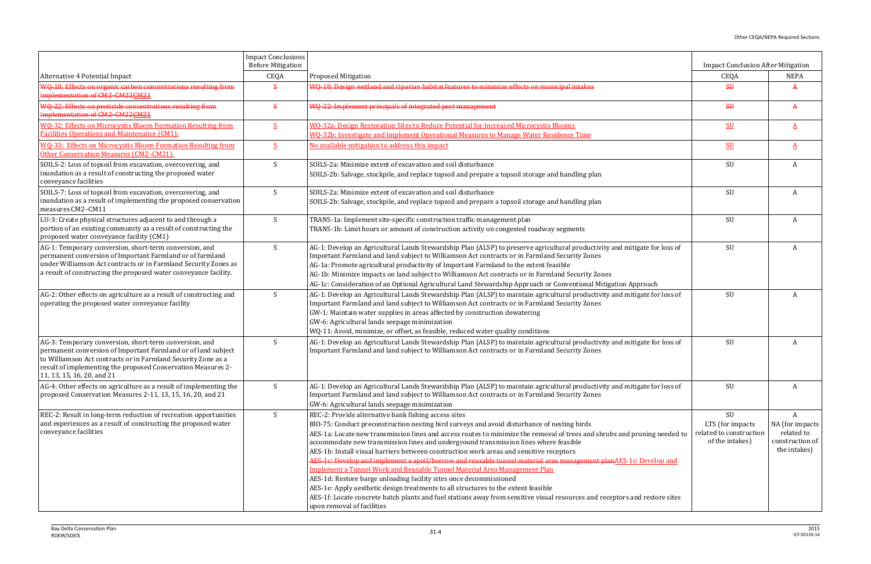|                                                                                                                                                                                                                                                                                        | <b>Impact Conclusions</b><br><b>Before Mitigation</b> |                                                                                                                                                                                                                                                                                                                                                                                                                                                                                                                                                                                                                                                                                                                                                                                                                                                                                                                                                                                                | <b>Impact Conclusion After Mitigation</b>                             |                                                                       |
|----------------------------------------------------------------------------------------------------------------------------------------------------------------------------------------------------------------------------------------------------------------------------------------|-------------------------------------------------------|------------------------------------------------------------------------------------------------------------------------------------------------------------------------------------------------------------------------------------------------------------------------------------------------------------------------------------------------------------------------------------------------------------------------------------------------------------------------------------------------------------------------------------------------------------------------------------------------------------------------------------------------------------------------------------------------------------------------------------------------------------------------------------------------------------------------------------------------------------------------------------------------------------------------------------------------------------------------------------------------|-----------------------------------------------------------------------|-----------------------------------------------------------------------|
| Alternative 4 Potential Impact                                                                                                                                                                                                                                                         | CEQA                                                  | Proposed Mitigation                                                                                                                                                                                                                                                                                                                                                                                                                                                                                                                                                                                                                                                                                                                                                                                                                                                                                                                                                                            | CEQA                                                                  | <b>NEPA</b>                                                           |
| WQ-18: Effects on organic carbon concentrations resulting from<br>mplementation of CM2-CM22CM21                                                                                                                                                                                        | $\mathbf{s}$                                          | WQ-18: Design wetland and riparian habitat features to minimize effects on municipal intakes                                                                                                                                                                                                                                                                                                                                                                                                                                                                                                                                                                                                                                                                                                                                                                                                                                                                                                   | $\overline{\mathsf{S}\mathsf{U}}$                                     | $\mathbf{A}$                                                          |
| WQ-22: Effects on pesticide concentrations resulting from<br>implementation of CM2-CM22CM21                                                                                                                                                                                            | $\mathbf{s}$                                          | WQ-22: Implement principals of integrated pest management                                                                                                                                                                                                                                                                                                                                                                                                                                                                                                                                                                                                                                                                                                                                                                                                                                                                                                                                      | \$H\$                                                                 | A                                                                     |
| WQ-32: Effects on Microcystis Bloom Formation Resulting from<br><b>Facilities Operations and Maintenance (CM1).</b>                                                                                                                                                                    | S                                                     | WQ-32a: Design Restoration Sites to Reduce Potential for Increased Microcystis Blooms<br>WO-32b: Investigate and Implement Operational Measures to Manage Water Residence Time                                                                                                                                                                                                                                                                                                                                                                                                                                                                                                                                                                                                                                                                                                                                                                                                                 | $SU$                                                                  | $\mathbf A$                                                           |
| <b>WO-33: Effects on Microcystis Bloom Formation Resulting from</b><br>Other Conservation Measures (CM2-CM21).                                                                                                                                                                         | -S                                                    | No available mitigation to address this impact                                                                                                                                                                                                                                                                                                                                                                                                                                                                                                                                                                                                                                                                                                                                                                                                                                                                                                                                                 | $SU$                                                                  | A                                                                     |
| SOILS-2: Loss of topsoil from excavation, overcovering, and<br>inundation as a result of constructing the proposed water<br>conveyance facilities                                                                                                                                      | S                                                     | SOILS-2a: Minimize extent of excavation and soil disturbance<br>SOILS-2b: Salvage, stockpile, and replace topsoil and prepare a topsoil storage and handling plan                                                                                                                                                                                                                                                                                                                                                                                                                                                                                                                                                                                                                                                                                                                                                                                                                              | SU                                                                    | A                                                                     |
| SOILS-7: Loss of topsoil from excavation, overcovering, and<br>inundation as a result of implementing the proposed conservation<br>measures CM2-CM11                                                                                                                                   | S                                                     | SOILS-2a: Minimize extent of excavation and soil disturbance<br>SOILS-2b: Salvage, stockpile, and replace topsoil and prepare a topsoil storage and handling plan                                                                                                                                                                                                                                                                                                                                                                                                                                                                                                                                                                                                                                                                                                                                                                                                                              | SU                                                                    | A                                                                     |
| LU-3: Create physical structures adjacent to and through a<br>portion of an existing community as a result of constructing the<br>proposed water conveyance facility (CM1)                                                                                                             | S                                                     | TRANS-1a: Implement site-specific construction traffic management plan<br>TRANS-1b: Limit hours or amount of construction activity on congested roadway segments                                                                                                                                                                                                                                                                                                                                                                                                                                                                                                                                                                                                                                                                                                                                                                                                                               | SU                                                                    | A                                                                     |
| AG-1: Temporary conversion, short-term conversion, and<br>permanent conversion of Important Farmland or of farmland<br>under Williamson Act contracts or in Farmland Security Zones as<br>a result of constructing the proposed water conveyance facility.                             | S                                                     | AG-1: Develop an Agricultural Lands Stewardship Plan (ALSP) to preserve agricultural productivity and mitigate for loss of<br>Important Farmland and land subject to Williamson Act contracts or in Farmland Security Zones<br>AG-1a: Promote agricultural productivity of Important Farmland to the extent feasible<br>AG-1b: Minimize impacts on land subject to Williamson Act contracts or in Farmland Security Zones<br>AG-1c: Consideration of an Optional Agricultural Land Stewardship Approach or Conventional Mitigation Approach                                                                                                                                                                                                                                                                                                                                                                                                                                                    | SU                                                                    | A                                                                     |
| AG-2: Other effects on agriculture as a result of constructing and<br>operating the proposed water conveyance facility                                                                                                                                                                 | S                                                     | AG-1: Develop an Agricultural Lands Stewardship Plan (ALSP) to maintain agricultural productivity and mitigate for loss of<br>Important Farmland and land subject to Williamson Act contracts or in Farmland Security Zones<br>GW-1: Maintain water supplies in areas affected by construction dewatering<br>GW-6: Agricultural lands seepage minimization<br>WQ-11: Avoid, minimize, or offset, as feasible, reduced water quality conditions                                                                                                                                                                                                                                                                                                                                                                                                                                                                                                                                                 | SU                                                                    | A                                                                     |
| AG-3: Temporary conversion, short-term conversion, and<br>permanent conversion of Important Farmland or of land subject<br>to Williamson Act contracts or in Farmland Security Zone as a<br>result of implementing the proposed Conservation Measures 2-<br>11, 13, 15, 16, 20, and 21 | S                                                     | AG-1: Develop an Agricultural Lands Stewardship Plan (ALSP) to maintain agricultural productivity and mitigate for loss of<br>Important Farmland and land subject to Williamson Act contracts or in Farmland Security Zones                                                                                                                                                                                                                                                                                                                                                                                                                                                                                                                                                                                                                                                                                                                                                                    | SU                                                                    | A                                                                     |
| AG-4: Other effects on agriculture as a result of implementing the<br>proposed Conservation Measures 2-11, 13, 15, 16, 20, and 21                                                                                                                                                      | S                                                     | AG-1: Develop an Agricultural Lands Stewardship Plan (ALSP) to maintain agricultural productivity and mitigate for loss of<br>Important Farmland and land subject to Williamson Act contracts or in Farmland Security Zones<br>GW-6: Agricultural lands seepage minimization                                                                                                                                                                                                                                                                                                                                                                                                                                                                                                                                                                                                                                                                                                                   | SU                                                                    | A                                                                     |
| REC-2: Result in long-term reduction of recreation opportunities<br>and experiences as a result of constructing the proposed water<br>conveyance facilities                                                                                                                            | S                                                     | REC-2: Provide alternative bank fishing access sites<br>BIO-75: Conduct preconstruction nesting bird surveys and avoid disturbance of nesting birds<br>AES-1a: Locate new transmission lines and access routes to minimize the removal of trees and shrubs and pruning needed to<br>accommodate new transmission lines and underground transmission lines where feasible<br>AES-1b: Install visual barriers between construction work areas and sensitive receptors<br>AES-1c: Develop and implement a spoil/borrow and reusable tunnel material area management planAES-1c: Develop and<br>Implement a Tunnel Work and Reusable Tunnel Material Area Management Plan<br>AES-1d: Restore barge unloading facility sites once decommissioned<br>AES-1e: Apply aesthetic design treatments to all structures to the extent feasible<br>AES-1f: Locate concrete batch plants and fuel stations away from sensitive visual resources and receptors and restore sites<br>upon removal of facilities | SU<br>LTS (for impacts)<br>related to construction<br>of the intakes) | A<br>NA (for impacts<br>related to<br>construction of<br>the intakes) |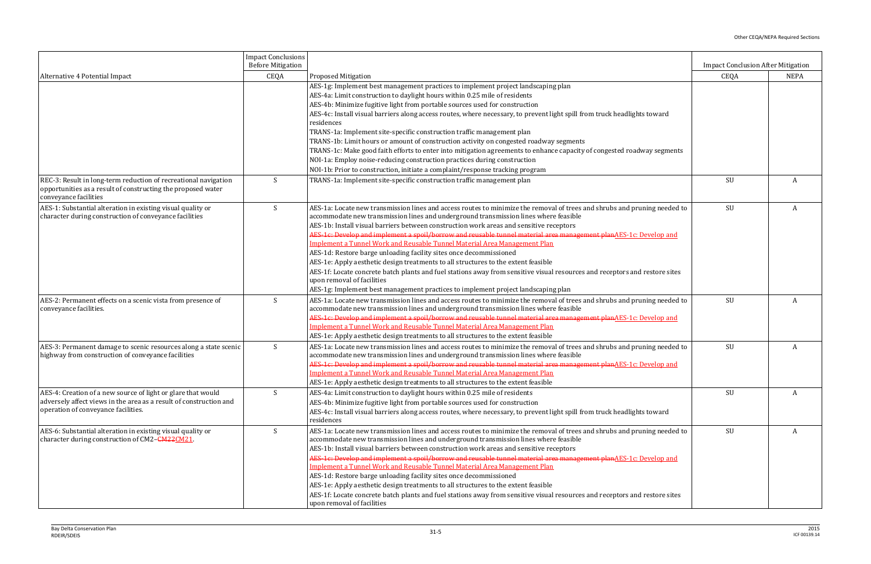|                                                                                                                                                                           | <b>Impact Conclusions</b><br><b>Before Mitigation</b> |                                                                                                                                                                                                                                                                                                                                                                                                                                                                                                                                                                                                                                                                                                                                                                                                                                                                                                                              | <b>Impact Conclusion After Mitigation</b> |             |
|---------------------------------------------------------------------------------------------------------------------------------------------------------------------------|-------------------------------------------------------|------------------------------------------------------------------------------------------------------------------------------------------------------------------------------------------------------------------------------------------------------------------------------------------------------------------------------------------------------------------------------------------------------------------------------------------------------------------------------------------------------------------------------------------------------------------------------------------------------------------------------------------------------------------------------------------------------------------------------------------------------------------------------------------------------------------------------------------------------------------------------------------------------------------------------|-------------------------------------------|-------------|
| Alternative 4 Potential Impact                                                                                                                                            | CEQA                                                  | <b>Proposed Mitigation</b>                                                                                                                                                                                                                                                                                                                                                                                                                                                                                                                                                                                                                                                                                                                                                                                                                                                                                                   | CEQA                                      | <b>NEPA</b> |
|                                                                                                                                                                           |                                                       | AES-1g: Implement best management practices to implement project landscaping plan<br>AES-4a: Limit construction to daylight hours within 0.25 mile of residents<br>AES-4b: Minimize fugitive light from portable sources used for construction<br>AES-4c: Install visual barriers along access routes, where necessary, to prevent light spill from truck headlights toward<br>residences<br>TRANS-1a: Implement site-specific construction traffic management plan<br>TRANS-1b: Limit hours or amount of construction activity on congested roadway segments                                                                                                                                                                                                                                                                                                                                                                |                                           |             |
|                                                                                                                                                                           |                                                       | TRANS-1c: Make good faith efforts to enter into mitigation agreements to enhance capacity of congested roadway segments<br>NOI-1a: Employ noise-reducing construction practices during construction<br>NOI-1b: Prior to construction, initiate a complaint/response tracking program                                                                                                                                                                                                                                                                                                                                                                                                                                                                                                                                                                                                                                         |                                           |             |
| REC-3: Result in long-term reduction of recreational navigation<br>opportunities as a result of constructing the proposed water<br>conveyance facilities                  | S                                                     | TRANS-1a: Implement site-specific construction traffic management plan                                                                                                                                                                                                                                                                                                                                                                                                                                                                                                                                                                                                                                                                                                                                                                                                                                                       | SU                                        | A           |
| AES-1: Substantial alteration in existing visual quality or<br>character during construction of conveyance facilities                                                     | S                                                     | AES-1a: Locate new transmission lines and access routes to minimize the removal of trees and shrubs and pruning needed to<br>accommodate new transmission lines and underground transmission lines where feasible<br>AES-1b: Install visual barriers between construction work areas and sensitive receptors<br>AES-1c: Develop and implement a spoil/borrow and reusable tunnel material area management planAES-1c: Develop and<br>Implement a Tunnel Work and Reusable Tunnel Material Area Management Plan<br>AES-1d: Restore barge unloading facility sites once decommissioned<br>AES-1e: Apply aesthetic design treatments to all structures to the extent feasible<br>AES-1f: Locate concrete batch plants and fuel stations away from sensitive visual resources and receptors and restore sites<br>upon removal of facilities<br>AES-1g: Implement best management practices to implement project landscaping plan | SU                                        | A           |
| AES-2: Permanent effects on a scenic vista from presence of<br>conveyance facilities.                                                                                     | S                                                     | AES-1a: Locate new transmission lines and access routes to minimize the removal of trees and shrubs and pruning needed to<br>accommodate new transmission lines and underground transmission lines where feasible<br>AES-1c: Develop and implement a spoil/borrow and reusable tunnel material area management planAES-1c: Develop and<br>Implement a Tunnel Work and Reusable Tunnel Material Area Management Plan<br>AES-1e: Apply aesthetic design treatments to all structures to the extent feasible                                                                                                                                                                                                                                                                                                                                                                                                                    | SU                                        | A           |
| AES-3: Permanent damage to scenic resources along a state scenic<br>highway from construction of conveyance facilities                                                    | S                                                     | AES-1a: Locate new transmission lines and access routes to minimize the removal of trees and shrubs and pruning needed to<br>accommodate new transmission lines and underground transmission lines where feasible<br>A <del>ES-1c: Develop and implement a spoil/borrow and reusable tunnel material area management plan</del> AES-1c: Develop and<br>Implement a Tunnel Work and Reusable Tunnel Material Area Management Plan<br>AES-1e: Apply aesthetic design treatments to all structures to the extent feasible                                                                                                                                                                                                                                                                                                                                                                                                       | SU                                        | A           |
| AES-4: Creation of a new source of light or glare that would<br>adversely affect views in the area as a result of construction and<br>operation of conveyance facilities. | S                                                     | AES-4a: Limit construction to daylight hours within 0.25 mile of residents<br>AES-4b: Minimize fugitive light from portable sources used for construction<br>AES-4c: Install visual barriers along access routes, where necessary, to prevent light spill from truck headlights toward<br>residences                                                                                                                                                                                                                                                                                                                                                                                                                                                                                                                                                                                                                         | SU                                        | A           |
| AES-6: Substantial alteration in existing visual quality or<br>character during construction of CM2-CM22CM21.                                                             | S                                                     | AES-1a: Locate new transmission lines and access routes to minimize the removal of trees and shrubs and pruning needed to<br>accommodate new transmission lines and underground transmission lines where feasible<br>AES-1b: Install visual barriers between construction work areas and sensitive receptors<br>AES-1c: Develop and implement a spoil/borrow and reusable tunnel material area management plan <u>AES-1c: Develop and</u><br>Implement a Tunnel Work and Reusable Tunnel Material Area Management Plan<br>AES-1d: Restore barge unloading facility sites once decommissioned<br>AES-1e: Apply aesthetic design treatments to all structures to the extent feasible<br>AES-1f: Locate concrete batch plants and fuel stations away from sensitive visual resources and receptors and restore sites<br>upon removal of facilities                                                                              | SU                                        | A           |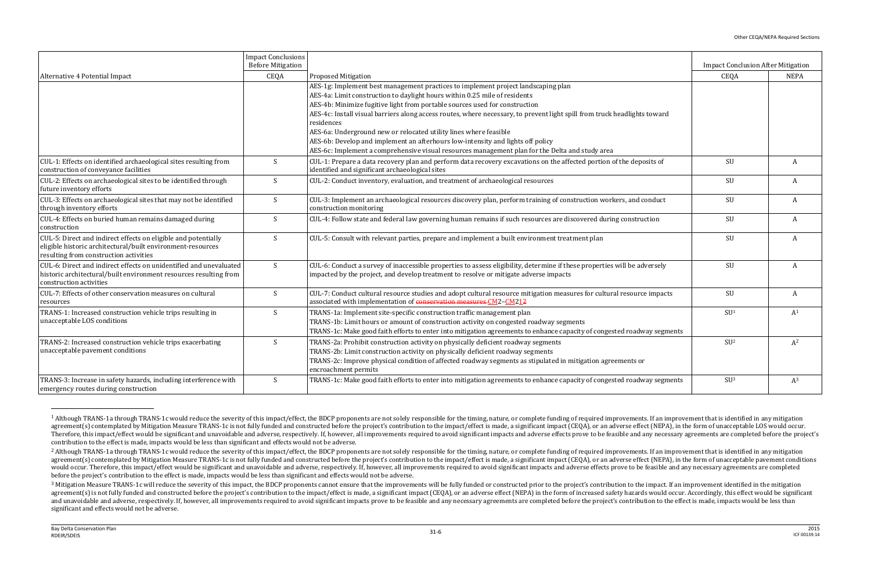|                                                                                                                                                                         | <b>Impact Conclusions</b><br><b>Before Mitigation</b> |                                                                                                                                                                                                                                                                                                                                                                                                                                                                | <b>Impact Conclusion After Mitigation</b> |                |
|-------------------------------------------------------------------------------------------------------------------------------------------------------------------------|-------------------------------------------------------|----------------------------------------------------------------------------------------------------------------------------------------------------------------------------------------------------------------------------------------------------------------------------------------------------------------------------------------------------------------------------------------------------------------------------------------------------------------|-------------------------------------------|----------------|
| Alternative 4 Potential Impact                                                                                                                                          | CEQA                                                  | <b>Proposed Mitigation</b>                                                                                                                                                                                                                                                                                                                                                                                                                                     | CEQA                                      | <b>NEPA</b>    |
|                                                                                                                                                                         |                                                       | AES-1g: Implement best management practices to implement project landscaping plan<br>AES-4a: Limit construction to daylight hours within 0.25 mile of residents<br>AES-4b: Minimize fugitive light from portable sources used for construction<br>AES-4c: Install visual barriers along access routes, where necessary, to prevent light spill from truck headlights toward<br>residences<br>AES-6a: Underground new or relocated utility lines where feasible |                                           |                |
|                                                                                                                                                                         |                                                       | AES-6b: Develop and implement an afterhours low-intensity and lights off policy<br>AES-6c: Implement a comprehensive visual resources management plan for the Delta and study area                                                                                                                                                                                                                                                                             |                                           |                |
| CUL-1: Effects on identified archaeological sites resulting from<br>construction of conveyance facilities                                                               | S                                                     | CUL-1: Prepare a data recovery plan and perform data recovery excavations on the affected portion of the deposits of<br>identified and significant archaeological sites                                                                                                                                                                                                                                                                                        | SU                                        | A              |
| CUL-2: Effects on archaeological sites to be identified through<br>future inventory efforts                                                                             | S                                                     | CUL-2: Conduct inventory, evaluation, and treatment of archaeological resources                                                                                                                                                                                                                                                                                                                                                                                | SU                                        | A              |
| CUL-3: Effects on archaeological sites that may not be identified<br>through inventory efforts                                                                          | S                                                     | CUL-3: Implement an archaeological resources discovery plan, perform training of construction workers, and conduct<br>construction monitoring                                                                                                                                                                                                                                                                                                                  | SU                                        | A              |
| CUL-4: Effects on buried human remains damaged during<br>construction                                                                                                   | S                                                     | CUL-4: Follow state and federal law governing human remains if such resources are discovered during construction                                                                                                                                                                                                                                                                                                                                               | SU                                        | A              |
| CUL-5: Direct and indirect effects on eligible and potentially<br>eligible historic architectural/built environment-resources<br>resulting from construction activities | S                                                     | CUL-5: Consult with relevant parties, prepare and implement a built environment treatment plan                                                                                                                                                                                                                                                                                                                                                                 | SU                                        | A              |
| CUL-6: Direct and indirect effects on unidentified and unevaluated<br>historic architectural/built environment resources resulting from<br>construction activities      | S                                                     | CUL-6: Conduct a survey of inaccessible properties to assess eligibility, determine if these properties will be adversely<br>impacted by the project, and develop treatment to resolve or mitigate adverse impacts                                                                                                                                                                                                                                             | SU                                        | A              |
| CUL-7: Effects of other conservation measures on cultural<br>resources                                                                                                  | S                                                     | CUL-7: Conduct cultural resource studies and adopt cultural resource mitigation measures for cultural resource impacts<br>associated with implementation of conservation measures CM2-CM212                                                                                                                                                                                                                                                                    | SU                                        | A              |
| TRANS-1: Increased construction vehicle trips resulting in<br>unacceptable LOS conditions                                                                               | S                                                     | TRANS-1a: Implement site-specific construction traffic management plan<br>TRANS-1b: Limit hours or amount of construction activity on congested roadway segments<br>TRANS-1c: Make good faith efforts to enter into mitigation agreements to enhance capacity of congested roadway segments                                                                                                                                                                    | SU <sup>1</sup>                           | A <sup>1</sup> |
| TRANS-2: Increased construction vehicle trips exacerbating<br>unacceptable pavement conditions                                                                          | S                                                     | TRANS-2a: Prohibit construction activity on physically deficient roadway segments<br>TRANS-2b: Limit construction activity on physically deficient roadway segments<br>TRANS-2c: Improve physical condition of affected roadway segments as stipulated in mitigation agreements or<br>encroachment permits                                                                                                                                                     | SU <sup>2</sup>                           | $A^2$          |
| TRANS-3: Increase in safety hazards, including interference with<br>emergency routes during construction                                                                | $\boldsymbol{S}$                                      | TRANS-1c: Make good faith efforts to enter into mitigation agreements to enhance capacity of congested roadway segments                                                                                                                                                                                                                                                                                                                                        | SU <sup>3</sup>                           | $A^3$          |

<sup>&</sup>lt;sup>1</sup> Although TRANS-1a through TRANS-1c would reduce the severity of this impact/effect, the BDCP proponents are not solely responsible for the timing, nature, or complete funding of required improvements. If an improvement agreement(s) contemplated by Mitigation Measure TRANS-1c is not fully funded and constructed before the project's contribution to the impact/effect is made, a significant impact (CEQA), or an adverse effect (NEPA), in the Therefore, this impact/effect would be significant and unavoidable and adverse, respectively. If, however, all improvements required to avoid significant impacts and adverse effects prove to be feasible and any necessary a contribution to the effect is made, impacts would be less than significant and effects would not be adverse.

 $\overline{\phantom{0}}$ 

<sup>&</sup>lt;sup>2</sup> Although TRANS-1a through TRANS-1c would reduce the severity of this impact/effect, the BDCP proponents are not solely responsible for the timing, nature, or complete funding of required improvements. If an improvement agreement(s) contemplated by Mitigation Measure TRANS-1c is not fully funded and constructed before the project's contribution to the impact/effect is made, a significant impact (CEQA), or an adverse effect (NEPA), in the would occur. Therefore, this impact/effect would be significant and unavoidable and adverse, respectively. If, however, all improvements required to avoid significant impacts and adverse effects prove to be feasible and an before the project's contribution to the effect is made, impacts would be less than significant and effects would not be adverse.

<sup>&</sup>lt;sup>3</sup> Mitigation Measure TRANS-1c will reduce the severity of this impact, the BDCP proponents cannot ensure that the improvements will be fully funded or constructed prior to the project's contribution to the impact. If an agreement(s) is not fully funded and constructed before the project's contribution to the impact/effect is made, a significant impact (CEOA), or an adverse effect (NEPA) in the form of increased safety hazards would occur. and unavoidable and adverse, respectively. If, however, all improvements required to avoid significant impacts prove to be feasible and any necessary agreements are completed before the project's contribution to the effect significant and effects would not be adverse.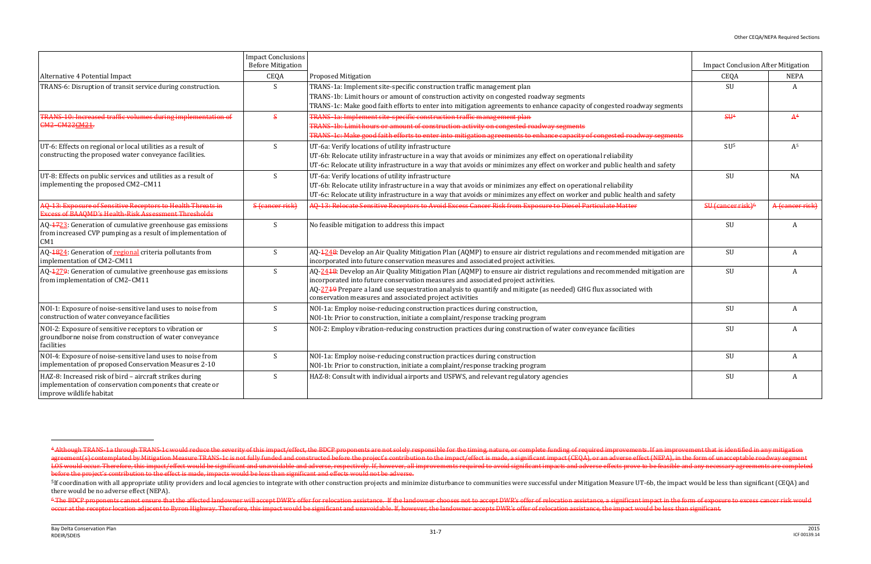|                                                                                                                                                 | <b>Impact Conclusions</b><br><b>Before Mitigation</b> |                                                                                                                                                                                                                                                                                                                                                                                             | <b>Impact Conclusion After Mitigation</b> |                 |
|-------------------------------------------------------------------------------------------------------------------------------------------------|-------------------------------------------------------|---------------------------------------------------------------------------------------------------------------------------------------------------------------------------------------------------------------------------------------------------------------------------------------------------------------------------------------------------------------------------------------------|-------------------------------------------|-----------------|
| Alternative 4 Potential Impact                                                                                                                  | CEQA                                                  | <b>Proposed Mitigation</b>                                                                                                                                                                                                                                                                                                                                                                  | CEQA                                      | <b>NEPA</b>     |
| TRANS-6: Disruption of transit service during construction.                                                                                     | <sup>S</sup>                                          | TRANS-1a: Implement site-specific construction traffic management plan<br>TRANS-1b: Limit hours or amount of construction activity on congested roadway segments<br>TRANS-1c: Make good faith efforts to enter into mitigation agreements to enhance capacity of congested roadway segments                                                                                                 | SU                                        | $\mathbf{A}$    |
| TRANS-10: Increased traffic volumes during implementation of<br><b>CM2-CM22CM21.</b>                                                            | $\mathbf{s}$                                          | TRANS-1a: Implement site-specific construction traffic management plan<br>TRANS-1b: Limit hours or amount of construction activity on congested roadway segments<br>TRANS-1c: Make good faith efforts to enter into mitigation agreements to enhance capacity of congested roadway segments                                                                                                 | \$H <sup>4</sup>                          | A <sup>4</sup>  |
| UT-6: Effects on regional or local utilities as a result of<br>constructing the proposed water conveyance facilities.                           | S                                                     | UT-6a: Verify locations of utility infrastructure<br>UT-6b: Relocate utility infrastructure in a way that avoids or minimizes any effect on operational reliability<br>UT-6c: Relocate utility infrastructure in a way that avoids or minimizes any effect on worker and public health and safety                                                                                           | SU <sup>5</sup>                           | A <sup>5</sup>  |
| UT-8: Effects on public services and utilities as a result of<br>implementing the proposed CM2-CM11                                             | S                                                     | UT-6a: Verify locations of utility infrastructure<br>UT-6b: Relocate utility infrastructure in a way that avoids or minimizes any effect on operational reliability<br>UT-6c: Relocate utility infrastructure in a way that avoids or minimizes any effect on worker and public health and safety                                                                                           | SU                                        | NA              |
| AQ-13: Exposure of Sensitive Receptors to Health Threats in<br><b>Excess of BAAOMD's Health-Risk Assessment Thresholds</b>                      | S (cancer risk)                                       | AQ-13: Relocate Sensitive Receptors to Avoid Excess Cancer Risk from Exposure to Diesel Particulate Matter                                                                                                                                                                                                                                                                                  | SU (cancer risk) <sup>6</sup>             | A (cancer risk) |
| AQ-4723: Generation of cumulative greenhouse gas emissions<br>from increased CVP pumping as a result of implementation of<br>CM1                | S                                                     | No feasible mitigation to address this impact                                                                                                                                                                                                                                                                                                                                               | SU                                        | A               |
| AQ-1824: Generation of regional criteria pollutants from<br>implementation of CM2-CM11                                                          | <sub>S</sub>                                          | AQ-4248: Develop an Air Quality Mitigation Plan (AQMP) to ensure air district regulations and recommended mitigation are<br>incorporated into future conservation measures and associated project activities.                                                                                                                                                                               | SU                                        | A               |
| AQ-4279: Generation of cumulative greenhouse gas emissions<br>from implementation of CM2-CM11                                                   | S                                                     | AQ-2418: Develop an Air Quality Mitigation Plan (AQMP) to ensure air district regulations and recommended mitigation are<br>incorporated into future conservation measures and associated project activities.<br>AQ-2749 Prepare a land use sequestration analysis to quantify and mitigate (as needed) GHG flux associated with<br>conservation measures and associated project activities | SU                                        | A               |
| NOI-1: Exposure of noise-sensitive land uses to noise from<br>construction of water conveyance facilities                                       | <sup>S</sup>                                          | NOI-1a: Employ noise-reducing construction practices during construction,<br>NOI-1b: Prior to construction, initiate a complaint/response tracking program                                                                                                                                                                                                                                  | SU                                        | A               |
| NOI-2: Exposure of sensitive receptors to vibration or<br>groundborne noise from construction of water conveyance<br>facilities                 | S                                                     | NOI-2: Employ vibration-reducing construction practices during construction of water conveyance facilities                                                                                                                                                                                                                                                                                  | SU                                        | A               |
| NOI-4: Exposure of noise-sensitive land uses to noise from<br>implementation of proposed Conservation Measures 2-10                             | S                                                     | NOI-1a: Employ noise-reducing construction practices during construction<br>NOI-1b: Prior to construction, initiate a complaint/response tracking program                                                                                                                                                                                                                                   | SU                                        | A               |
| HAZ-8: Increased risk of bird - aircraft strikes during<br>implementation of conservation components that create or<br>improve wildlife habitat | S                                                     | HAZ-8: Consult with individual airports and USFWS, and relevant regulatory agencies                                                                                                                                                                                                                                                                                                         | SU                                        | A               |

 $\overline{\phantom{0}}$ 

<sup>&</sup>lt;sup>4</sup>-Although TRANS-1a through TRANS-1c would reduce the severity of this impact/effect, the BDCP proponents are not solely responsible for the timing, nature, or complete funding of required improvements. If an improvement agreement(s) contemplated by Mitigation Measure TRANS-1c is not fully funded and constructed before the project's contribution to the impact/effect is made, a significant impact (CEQA), or an adverse effect (NEPA), in the LOS would occur. Therefore, this impact/effect would be significant and unavoidable and adverse, respectively. If, however, all improvements required to avoid significant impacts and adverse effects prove to be feasible an before the project's contribution to the effect is made, impacts would be less than significant and effects would not be adverse.

<sup>&</sup>lt;sup>5</sup>If coordination with all appropriate utility providers and local agencies to integrate with other construction projects and minimize disturbance to communities were successful under Mitigation Measure UT-6b, the impact there would be no adverse effect (NEPA).

<sup>&</sup>lt;sup>6</sup> The BDCP proponents cannot ensure that the affected landowner will accept DWR's offer for relocation assistance. If the landowner chooses not to accept DWR's offer of relocation assistance, a significant impact in the occur at the receptor location adjacent to Byron Highway. Therefore, this impact would be significant and unavoidable. If, however, the landowner accepts DWR's offer of relocation assistance, the impact would be less than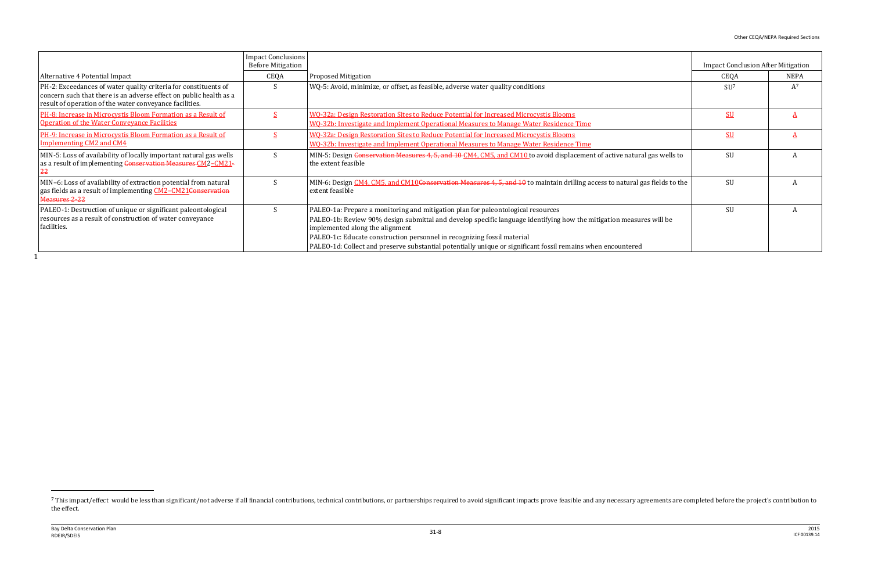$\overline{a}$ 

|                                                                                                                                                                                                  | <b>Impact Conclusions</b><br><b>Before Mitigation</b> |                                                                                                                                                                                                                                                                                                                                                                                                                                       | <b>Impact Conclusion After Mitigation</b> |       |
|--------------------------------------------------------------------------------------------------------------------------------------------------------------------------------------------------|-------------------------------------------------------|---------------------------------------------------------------------------------------------------------------------------------------------------------------------------------------------------------------------------------------------------------------------------------------------------------------------------------------------------------------------------------------------------------------------------------------|-------------------------------------------|-------|
| Alternative 4 Potential Impact                                                                                                                                                                   | CEQA                                                  | <b>Proposed Mitigation</b>                                                                                                                                                                                                                                                                                                                                                                                                            | CEQA                                      | NEPA  |
| PH-2: Exceedances of water quality criteria for constituents of<br>concern such that there is an adverse effect on public health as a<br>result of operation of the water conveyance facilities. |                                                       | WQ-5: Avoid, minimize, or offset, as feasible, adverse water quality conditions                                                                                                                                                                                                                                                                                                                                                       | SU <sup>7</sup>                           | $A^7$ |
| PH-8: Increase in Microcystis Bloom Formation as a Result of<br><b>Operation of the Water Conveyance Facilities</b>                                                                              |                                                       | WQ-32a: Design Restoration Sites to Reduce Potential for Increased Microcystis Blooms<br>WQ-32b: Investigate and Implement Operational Measures to Manage Water Residence Time                                                                                                                                                                                                                                                        | <b>SU</b>                                 |       |
| PH-9: Increase in Microcystis Bloom Formation as a Result of<br><b>Implementing CM2 and CM4</b>                                                                                                  |                                                       | WQ-32a: Design Restoration Sites to Reduce Potential for Increased Microcystis Blooms<br>WQ-32b: Investigate and Implement Operational Measures to Manage Water Residence Time                                                                                                                                                                                                                                                        | SU                                        |       |
| MIN-5: Loss of availability of locally important natural gas wells<br>as a result of implementing Conservation Measures CM2-CM21-                                                                |                                                       | MIN-5: Design Conservation Measures 4, 5, and 10 CM4, CM5, and CM10 to avoid displacement of active natural gas wells to<br>the extent feasible                                                                                                                                                                                                                                                                                       | <b>SU</b>                                 |       |
| MIN-6: Loss of availability of extraction potential from natural<br>gas fields as a result of implementing CM2-CM21Conservation<br>Measures 2-22                                                 |                                                       | MIN-6: Design CM4, CM5, and CM10Conservation Measures 4, 5, and 10 to maintain drilling access to natural gas fields to the<br>extent feasible                                                                                                                                                                                                                                                                                        | SU                                        |       |
| PALEO-1: Destruction of unique or significant paleontological<br>resources as a result of construction of water conveyance<br>facilities.                                                        |                                                       | PALEO-1a: Prepare a monitoring and mitigation plan for paleontological resources<br>PALEO-1b: Review 90% design submittal and develop specific language identifying how the mitigation measures will be<br>implemented along the alignment<br>PALEO-1c: Educate construction personnel in recognizing fossil material<br>PALEO-1d: Collect and preserve substantial potentially unique or significant fossil remains when encountered | <b>SU</b>                                 |       |

<sup>&</sup>lt;sup>7</sup> This impact/effect would be less than significant/not adverse if all financial contributions, technical contributions, or partnerships required to avoid significant impacts prove feasible and any necessary agreements a the effect.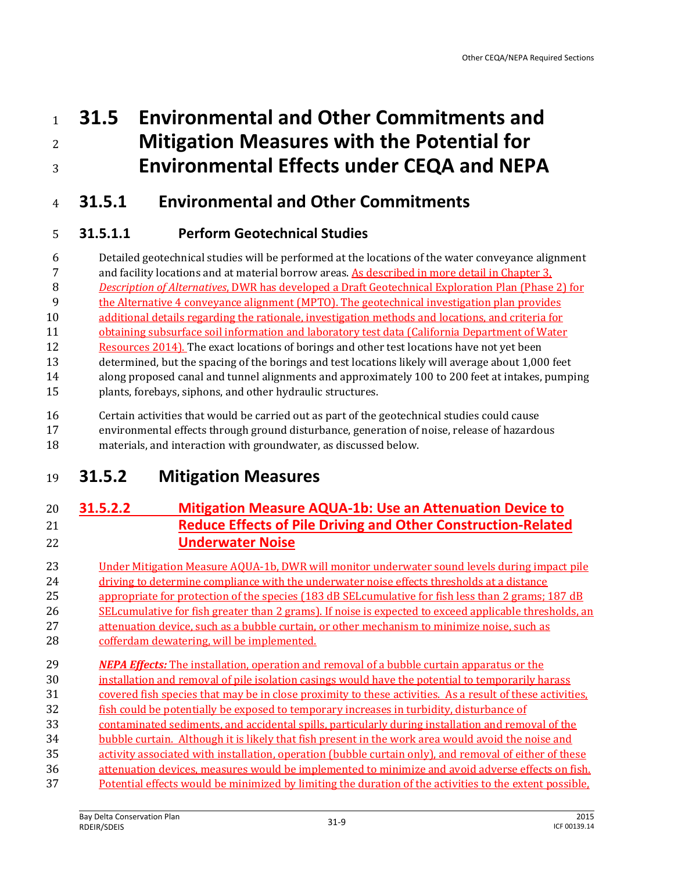# **31.5 Environmental and Other Commitments and Mitigation Measures with the Potential for Environmental Effects under CEQA and NEPA**

# **31.5.1 Environmental and Other Commitments**

# **31.5.1.1 Perform Geotechnical Studies**

 Detailed geotechnical studies will be performed at the locations of the water conveyance alignment and facility locations and at material borrow areas. As described in more detail in Chapter 3, *Description of Alternatives*, DWR has developed a Draft Geotechnical Exploration Plan (Phase 2) for the Alternative 4 conveyance alignment (MPTO). The geotechnical investigation plan provides additional details regarding the rationale, investigation methods and locations, and criteria for

11 obtaining subsurface soil information and laboratory test data (California Department of Water

 Resources 2014). The exact locations of borings and other test locations have not yet been determined, but the spacing of the borings and test locations likely will average about 1,000 feet

 along proposed canal and tunnel alignments and approximately 100 to 200 feet at intakes, pumping plants, forebays, siphons, and other hydraulic structures.

Certain activities that would be carried out as part of the geotechnical studies could cause

 environmental effects through ground disturbance, generation of noise, release of hazardous materials, and interaction with groundwater, as discussed below.

# **31.5.2 Mitigation Measures**

# **31.5.2.2 Mitigation Measure AQUA-1b: Use an Attenuation Device to Reduce Effects of Pile Driving and Other Construction-Related Underwater Noise**

- Under Mitigation Measure AQUA-1b, DWR will monitor underwater sound levels during impact pile 24 driving to determine compliance with the underwater noise effects thresholds at a distance 25 appropriate for protection of the species (183 dB SELcumulative for fish less than 2 grams; 187 dB
- SELcumulative for fish greater than 2 grams). If noise is expected to exceed applicable thresholds, an

27 attenuation device, such as a bubble curtain, or other mechanism to minimize noise, such as

- cofferdam dewatering, will be implemented.
- *NEPA Effects:* The installation, operation and removal of a bubble curtain apparatus or the installation and removal of pile isolation casings would have the potential to temporarily harass
- 31 covered fish species that may be in close proximity to these activities. As a result of these activities,
- fish could be potentially be exposed to temporary increases in turbidity, disturbance of
- contaminated sediments, and accidental spills, particularly during installation and removal of the
- bubble curtain. Although it is likely that fish present in the work area would avoid the noise and
- activity associated with installation, operation (bubble curtain only), and removal of either of these
- attenuation devices, measures would be implemented to minimize and avoid adverse effects on fish. Potential effects would be minimized by limiting the duration of the activities to the extent possible,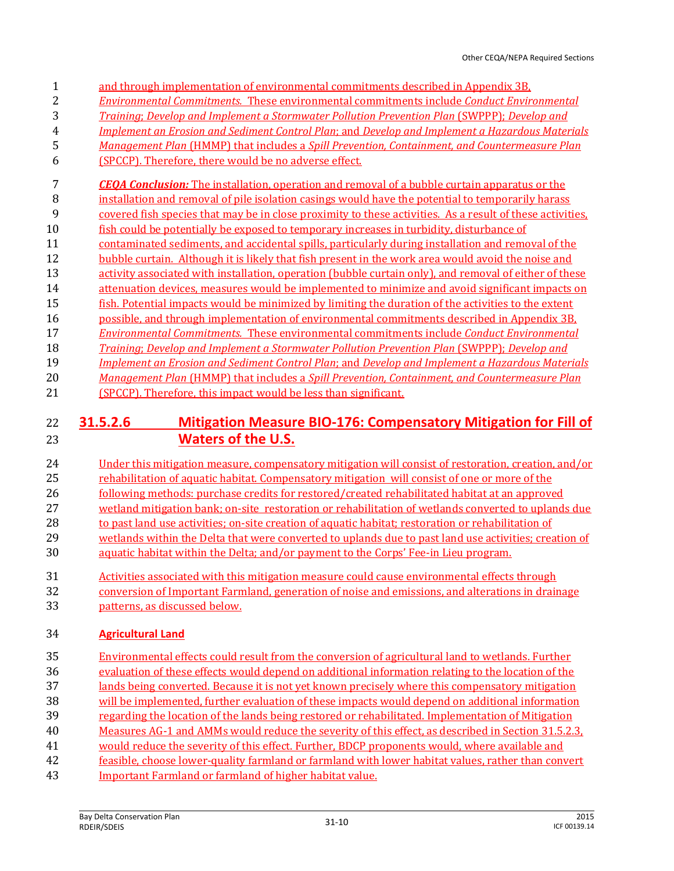|    | and through implementation of environmental commitments described in Appendix 3B.                         |
|----|-----------------------------------------------------------------------------------------------------------|
|    | <b>Environmental Commitments. These environmental commitments include Conduct Environmental</b>           |
|    | Training: Develop and Implement a Stormwater Pollution Prevention Plan (SWPPP): Develop and               |
| 4  | <b>Implement an Erosion and Sediment Control Plan; and Develop and Implement a Hazardous Materials</b>    |
| 5  | Management Plan (HMMP) that includes a Spill Prevention, Containment, and Countermeasure Plan             |
| 6  | (SPCCP). Therefore, there would be no adverse effect.                                                     |
|    | <b>CEOA Conclusion:</b> The installation, operation and removal of a bubble curtain apparatus or the      |
| 8  | installation and removal of pile isolation casings would have the potential to temporarily harass         |
| 9  | covered fish species that may be in close proximity to these activities. As a result of these activities, |
| 10 | fish could be potentially be exposed to temporary increases in turbidity, disturbance of                  |
| 11 | contaminated sediments, and accidental spills, particularly during installation and removal of the        |
| 12 | bubble curtain. Although it is likely that fish present in the work area would avoid the noise and        |
|    |                                                                                                           |

- 13 activity associated with installation, operation (bubble curtain only), and removal of either of these
- 14 attenuation devices, measures would be implemented to minimize and avoid significant impacts on
- fish. Potential impacts would be minimized by limiting the duration of the activities to the extent
- possible, and through implementation of environmental commitments described in Appendix 3B,
- *Environmental Commitments.* These environmental commitments include *Conduct Environmental*
- *Training*; *Develop and Implement a Stormwater Pollution Prevention Plan* (SWPPP); *Develop and*
- *Implement an Erosion and Sediment Control Plan*; and *Develop and Implement a Hazardous Materials Management Plan* (HMMP) that includes a *Spill Prevention, Containment, and Countermeasure Plan*
- (SPCCP). Therefore, this impact would be less than significant.

# **31.5.2.6 Mitigation Measure BIO-176: Compensatory Mitigation for Fill of Waters of the U.S.**

- Under this mitigation measure, compensatory mitigation will consist of restoration, creation, and/or rehabilitation of aquatic habitat. Compensatory mitigation will consist of one or more of the following methods: purchase credits for restored/created rehabilitated habitat at an approved wetland mitigation bank; on-site restoration or rehabilitation of wetlands converted to uplands due 28 to past land use activities; on-site creation of aquatic habitat; restoration or rehabilitation of 29 wetlands within the Delta that were converted to uplands due to past land use activities; creation of aquatic habitat within the Delta; and/or payment to the Corps' Fee-in Lieu program.
- 
- Activities associated with this mitigation measure could cause environmental effects through
- conversion of Important Farmland, generation of noise and emissions, and alterations in drainage patterns, as discussed below.

# **Agricultural Land**

 Environmental effects could result from the conversion of agricultural land to wetlands. Further evaluation of these effects would depend on additional information relating to the location of the lands being converted. Because it is not yet known precisely where this compensatory mitigation will be implemented, further evaluation of these impacts would depend on additional information regarding the location of the lands being restored or rehabilitated. Implementation of Mitigation Measures AG-1 and AMMs would reduce the severity of this effect, as described in Section 31.5.2.3, would reduce the severity of this effect. Further, BDCP proponents would, where available and feasible, choose lower-quality farmland or farmland with lower habitat values, rather than convert Important Farmland or farmland of higher habitat value.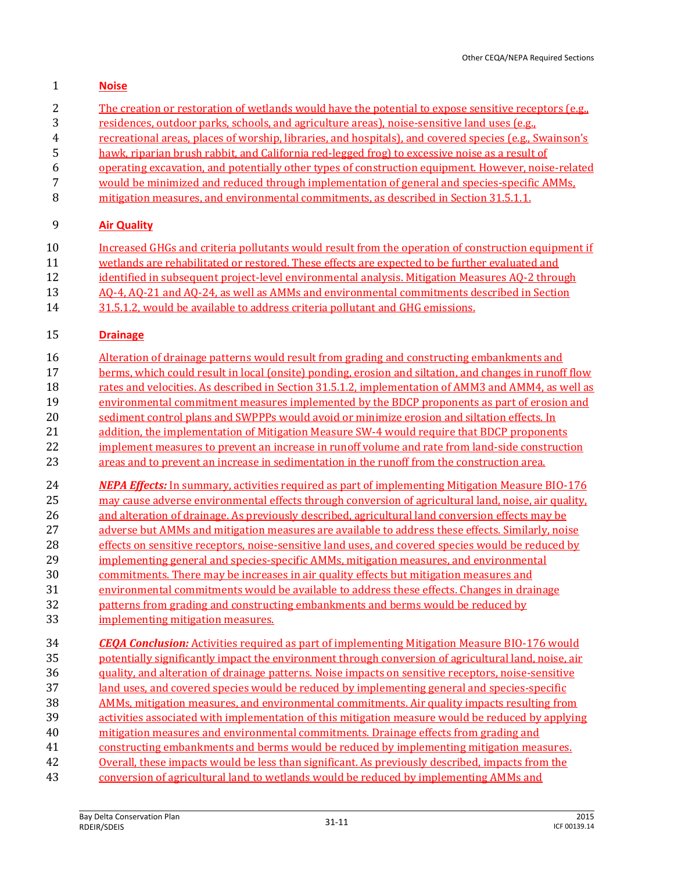#### **Noise**

- The creation or restoration of wetlands would have the potential to expose sensitive receptors (e.g.,
- residences, outdoor parks, schools, and agriculture areas), noise-sensitive land uses (e.g.,
- recreational areas, places of worship, libraries, and hospitals), and covered species (e.g., Swainson's
- hawk, riparian brush rabbit, and California red-legged frog) to excessive noise as a result of
- operating excavation, and potentially other types of construction equipment. However, noise-related
- would be minimized and reduced through implementation of general and species-specific AMMs,
- mitigation measures, and environmental commitments, as described in Section 31.5.1.1.

#### **Air Quality**

- Increased GHGs and criteria pollutants would result from the operation of construction equipment if
- wetlands are rehabilitated or restored. These effects are expected to be further evaluated and
- 12 identified in subsequent project-level environmental analysis. Mitigation Measures AO-2 through
- AQ-4, AQ-21 and AQ-24, as well as AMMs and environmental commitments described in Section
- 31.5.1.2, would be available to address criteria pollutant and GHG emissions.

#### **Drainage**

- Alteration of drainage patterns would result from grading and constructing embankments and
- berms, which could result in local (onsite) ponding, erosion and siltation, and changes in runoff flow
- 18 rates and velocities. As described in Section 31.5.1.2, implementation of AMM3 and AMM4, as well as
- environmental commitment measures implemented by the BDCP proponents as part of erosion and
- 20 sediment control plans and SWPPPs would avoid or minimize erosion and siltation effects. In
- 21 addition, the implementation of Mitigation Measure SW-4 would require that BDCP proponents
- 22 implement measures to prevent an increase in runoff volume and rate from land-side construction
- areas and to prevent an increase in sedimentation in the runoff from the construction area.
- *NEPA Effects:* In summary, activities required as part of implementing Mitigation Measure BIO-176 25 may cause adverse environmental effects through conversion of agricultural land, noise, air quality,
- and alteration of drainage. As previously described, agricultural land conversion effects may be
- adverse but AMMs and mitigation measures are available to address these effects. Similarly, noise
- effects on sensitive receptors, noise-sensitive land uses, and covered species would be reduced by
- implementing general and species-specific AMMs, mitigation measures, and environmental
- commitments. There may be increases in air quality effects but mitigation measures and
- environmental commitments would be available to address these effects. Changes in drainage
- 32 patterns from grading and constructing embankments and berms would be reduced by
- implementing mitigation measures.
- *CEQA Conclusion:* Activities required as part of implementing Mitigation Measure BIO-176 would potentially significantly impact the environment through conversion of agricultural land, noise, air quality, and alteration of drainage patterns. Noise impacts on sensitive receptors, noise-sensitive land uses, and covered species would be reduced by implementing general and species-specific AMMs, mitigation measures, and environmental commitments. Air quality impacts resulting from activities associated with implementation of this mitigation measure would be reduced by applying mitigation measures and environmental commitments. Drainage effects from grading and constructing embankments and berms would be reduced by implementing mitigation measures. 42 Overall, these impacts would be less than significant. As previously described, impacts from the conversion of agricultural land to wetlands would be reduced by implementing AMMs and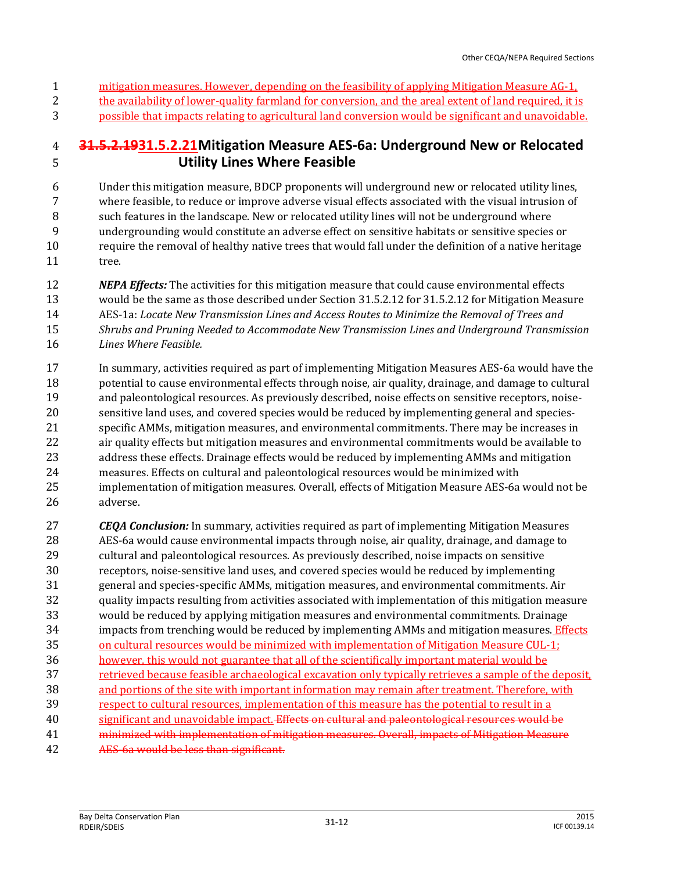- mitigation measures. However, depending on the feasibility of applying Mitigation Measure AG-1,
- 2 the availability of lower-quality farmland for conversion, and the areal extent of land required, it is
- possible that impacts relating to agricultural land conversion would be significant and unavoidable.

# **31.5.2.1931.5.2.21Mitigation Measure AES-6a: Underground New or Relocated Utility Lines Where Feasible**

 Under this mitigation measure, BDCP proponents will underground new or relocated utility lines, where feasible, to reduce or improve adverse visual effects associated with the visual intrusion of such features in the landscape. New or relocated utility lines will not be underground where undergrounding would constitute an adverse effect on sensitive habitats or sensitive species or require the removal of healthy native trees that would fall under the definition of a native heritage 11 tree.

- *NEPA Effects:* The activities for this mitigation measure that could cause environmental effects would be the same as those described under Section 31.5.2.12 for 31.5.2.12 for Mitigation Measure AES-1a: *Locate New Transmission Lines and Access Routes to Minimize the Removal of Trees and Shrubs and Pruning Needed to Accommodate New Transmission Lines and Underground Transmission Lines Where Feasible.*
- In summary, activities required as part of implementing Mitigation Measures AES-6a would have the potential to cause environmental effects through noise, air quality, drainage, and damage to cultural and paleontological resources. As previously described, noise effects on sensitive receptors, noise- sensitive land uses, and covered species would be reduced by implementing general and species- specific AMMs, mitigation measures, and environmental commitments. There may be increases in air quality effects but mitigation measures and environmental commitments would be available to address these effects. Drainage effects would be reduced by implementing AMMs and mitigation measures. Effects on cultural and paleontological resources would be minimized with implementation of mitigation measures. Overall, effects of Mitigation Measure AES-6a would not be adverse.
- *CEQA Conclusion:* In summary, activities required as part of implementing Mitigation Measures AES-6a would cause environmental impacts through noise, air quality, drainage, and damage to cultural and paleontological resources. As previously described, noise impacts on sensitive receptors, noise-sensitive land uses, and covered species would be reduced by implementing general and species-specific AMMs, mitigation measures, and environmental commitments. Air quality impacts resulting from activities associated with implementation of this mitigation measure would be reduced by applying mitigation measures and environmental commitments. Drainage 34 impacts from trenching would be reduced by implementing AMMs and mitigation measures. Effects on cultural resources would be minimized with implementation of Mitigation Measure CUL-1; however, this would not guarantee that all of the scientifically important material would be retrieved because feasible archaeological excavation only typically retrieves a sample of the deposit, 38 and portions of the site with important information may remain after treatment. Therefore, with respect to cultural resources, implementation of this measure has the potential to result in a significant and unavoidable impact. Effects on cultural and paleontological resources would be minimized with implementation of mitigation measures. Overall, impacts of Mitigation Measure AES-6a would be less than significant.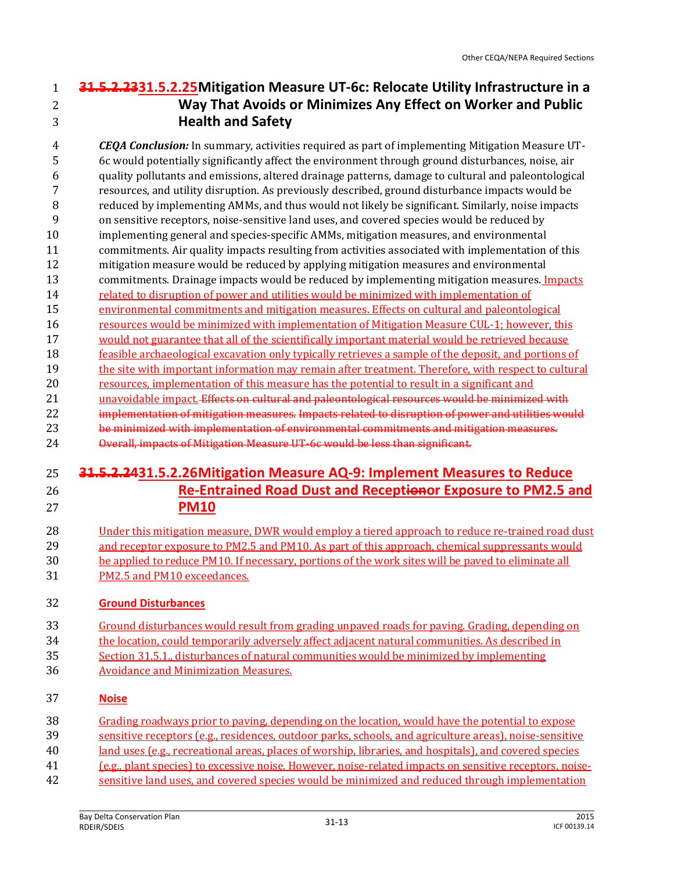# **31.5.2.2331.5.2.25Mitigation Measure UT-6c: Relocate Utility Infrastructure in a Way That Avoids or Minimizes Any Effect on Worker and Public Health and Safety**

 *CEQA Conclusion:* In summary, activities required as part of implementing Mitigation Measure UT- 6c would potentially significantly affect the environment through ground disturbances, noise, air quality pollutants and emissions, altered drainage patterns, damage to cultural and paleontological resources, and utility disruption. As previously described, ground disturbance impacts would be reduced by implementing AMMs, and thus would not likely be significant. Similarly, noise impacts on sensitive receptors, noise-sensitive land uses, and covered species would be reduced by implementing general and species-specific AMMs, mitigation measures, and environmental commitments. Air quality impacts resulting from activities associated with implementation of this mitigation measure would be reduced by applying mitigation measures and environmental 13 commitments. Drainage impacts would be reduced by implementing mitigation measures. Impacts 14 related to disruption of power and utilities would be minimized with implementation of environmental commitments and mitigation measures. Effects on cultural and paleontological resources would be minimized with implementation of Mitigation Measure CUL-1; however, this would not guarantee that all of the scientifically important material would be retrieved because feasible archaeological excavation only typically retrieves a sample of the deposit, and portions of the site with important information may remain after treatment. Therefore, with respect to cultural resources, implementation of this measure has the potential to result in a significant and 21 unavoidable impact. Effects on cultural and paleontological resources would be minimized with implementation of mitigation measures. Impacts related to disruption of power and utilities would be minimized with implementation of environmental commitments and mitigation measures. Overall, impacts of Mitigation Measure UT-6c would be less than significant.

# **31.5.2.2431.5.2.26Mitigation Measure AQ-9: Implement Measures to Reduce Re-Entrained Road Dust and Receptionor Exposure to PM2.5 and PM10**

#### Under this mitigation measure, DWR would employ a tiered approach to reduce re-trained road dust 29 and receptor exposure to PM2.5 and PM10. As part of this approach, chemical suppressants would be applied to reduce PM10. If necessary, portions of the work sites will be paved to eliminate all PM2.5 and PM10 exceedances.

## **Ground Disturbances**

- Ground disturbances would result from grading unpaved roads for paving. Grading, depending on
- the location, could temporarily adversely affect adjacent natural communities. As described in
- Section 31.5.1., disturbances of natural communities would be minimized by implementing
- Avoidance and Minimization Measures.

#### **Noise**

- Grading roadways prior to paving, depending on the location, would have the potential to expose sensitive receptors (e.g., residences, outdoor parks, schools, and agriculture areas), noise-sensitive
- land uses (e.g., recreational areas, places of worship, libraries, and hospitals), and covered species
- (e.g., plant species) to excessive noise. However, noise-related impacts on sensitive receptors, noise-
- sensitive land uses, and covered species would be minimized and reduced through implementation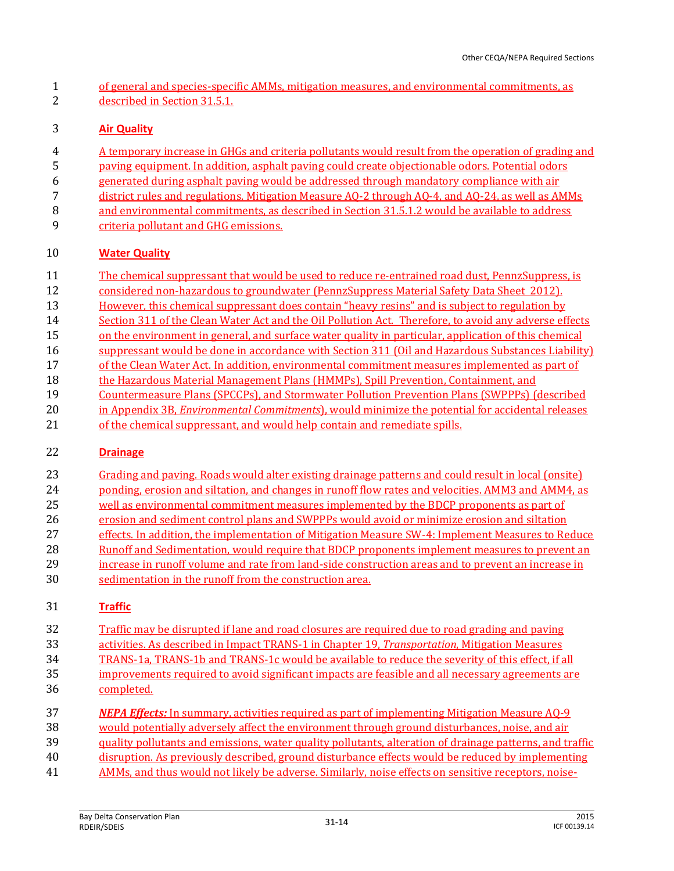of general and species-specific AMMs, mitigation measures, and environmental commitments, as described in Section 31.5.1.

#### **Air Quality**

- A temporary increase in GHGs and criteria pollutants would result from the operation of grading and
- paving equipment. In addition, asphalt paving could create objectionable odors. Potential odors
- generated during asphalt paving would be addressed through mandatory compliance with air
- district rules and regulations. Mitigation Measure AQ-2 through AQ-4, and AQ-24, as well as AMMs
- and environmental commitments, as described in Section 31.5.1.2 would be available to address
- 9 criteria pollutant and GHG emissions.

## **Water Quality**

- The chemical suppressant that would be used to reduce re-entrained road dust, PennzSuppress, is
- considered non-hazardous to groundwater (PennzSuppress Material Safety Data Sheet 2012).
- However, this chemical suppressant does contain "heavy resins" and is subject to regulation by
- 14 Section 311 of the Clean Water Act and the Oil Pollution Act. Therefore, to avoid any adverse effects
- on the environment in general, and surface water quality in particular, application of this chemical
- suppressant would be done in accordance with Section 311 (Oil and Hazardous Substances Liability)
- of the Clean Water Act. In addition, environmental commitment measures implemented as part of
- 18 the Hazardous Material Management Plans (HMMPs), Spill Prevention, Containment, and
- Countermeasure Plans (SPCCPs), and Stormwater Pollution Prevention Plans (SWPPPs) (described
- in Appendix 3B, *Environmental Commitments*), would minimize the potential for accidental releases
- 21 of the chemical suppressant, and would help contain and remediate spills.

## **Drainage**

- Grading and paving. Roads would alter existing drainage patterns and could result in local (onsite)
- 24 ponding, erosion and siltation, and changes in runoff flow rates and velocities. AMM3 and AMM4, as
- well as environmental commitment measures implemented by the BDCP proponents as part of
- erosion and sediment control plans and SWPPPs would avoid or minimize erosion and siltation
- effects. In addition, the implementation of Mitigation Measure SW-4: Implement Measures to Reduce
- Runoff and Sedimentation, would require that BDCP proponents implement measures to prevent an
- increase in runoff volume and rate from land-side construction areas and to prevent an increase in sedimentation in the runoff from the construction area.

## **Traffic**

- Traffic may be disrupted if lane and road closures are required due to road grading and paving
- activities. As described in Impact TRANS-1 in Chapter 19, *Transportation*, Mitigation Measures
- TRANS-1a, TRANS-1b and TRANS-1c would be available to reduce the severity of this effect, if all
- 35 improvements required to avoid significant impacts are feasible and all necessary agreements are completed.
- *NEPA Effects:* In summary, activities required as part of implementing Mitigation Measure AQ-9 would potentially adversely affect the environment through ground disturbances, noise, and air quality pollutants and emissions, water quality pollutants, alteration of drainage patterns, and traffic disruption. As previously described, ground disturbance effects would be reduced by implementing
- AMMs, and thus would not likely be adverse. Similarly, noise effects on sensitive receptors, noise-